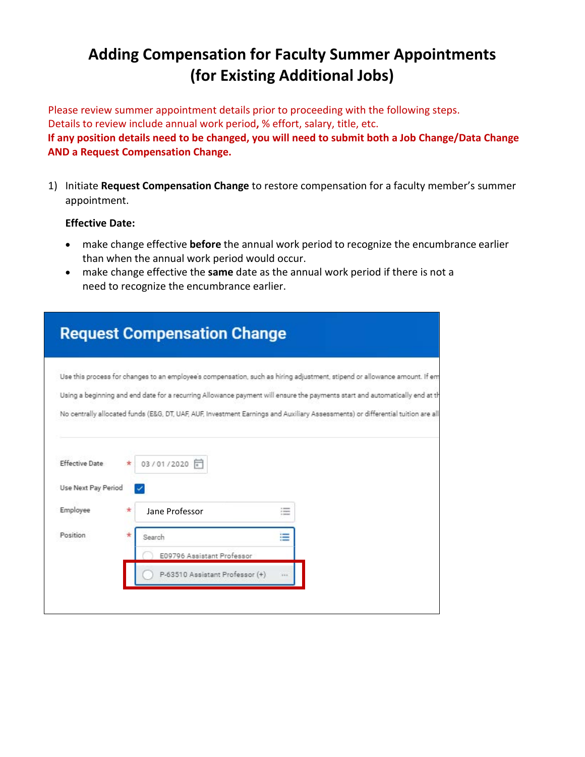# **Adding Compensation for Faculty Summer Appointments (for Existing Additional Jobs)**

Please review summer appointment details prior to proceeding with the following steps. Details to review include annual work period**,** % effort, salary, title, etc. **If any position details need to be changed, you will need to submit both a Job Change/Data Change AND a Request Compensation Change.**

1) Initiate **Request Compensation Change** to restore compensation for a faculty member's summer appointment.

#### **Effective Date:**

- make change effective **before** the annual work period to recognize the encumbrance earlier than when the annual work period would occur.
- make change effective the **same** date as the annual work period if there is not a need to recognize the encumbrance earlier.

|                                              |   | <b>Request Compensation Change</b> |                                                                                                                                                                                                                                                                                                                                                                                             |  |
|----------------------------------------------|---|------------------------------------|---------------------------------------------------------------------------------------------------------------------------------------------------------------------------------------------------------------------------------------------------------------------------------------------------------------------------------------------------------------------------------------------|--|
|                                              |   |                                    | Use this process for changes to an employee's compensation, such as hiring adjustment, stipend or allowance amount. If em<br>Using a beginning and end date for a recurring Allowance payment will ensure the payments start and automatically end at th<br>No centrally allocated funds (E&G, DT, UAF, AUF, Investment Earnings and Auxiliary Assessments) or differential tuition are all |  |
| <b>Effective Date</b><br>Use Next Pay Period | * | 03/01/2020 同                       |                                                                                                                                                                                                                                                                                                                                                                                             |  |
| Employee                                     |   | Jane Professor                     | 洼                                                                                                                                                                                                                                                                                                                                                                                           |  |
| Position                                     |   | Search                             | ≣                                                                                                                                                                                                                                                                                                                                                                                           |  |
|                                              |   | E09796 Assistant Professor         |                                                                                                                                                                                                                                                                                                                                                                                             |  |
|                                              |   | P-63510 Assistant Professor (+)    | $+ + +$                                                                                                                                                                                                                                                                                                                                                                                     |  |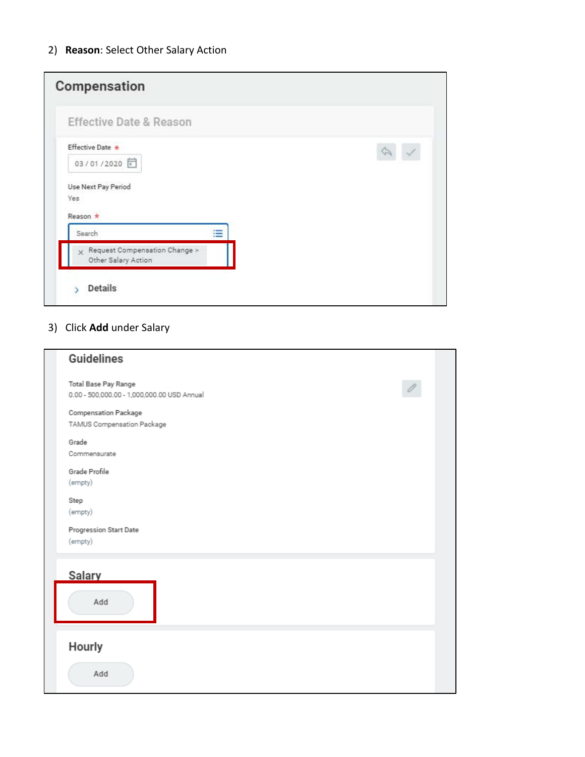| Ξ |  |  |
|---|--|--|
|   |  |  |
|   |  |  |

## 3) Click **Add** under Salary

| <b>Guidelines</b>                                                   |  |
|---------------------------------------------------------------------|--|
| Total Base Pay Range<br>0.00 - 500,000.00 - 1,000,000.00 USD Annual |  |
| Compensation Package<br>TAMUS Compensation Package                  |  |
| Grade<br>Commensurate                                               |  |
| Grade Profile<br>(empty)                                            |  |
| Step<br>(empty)                                                     |  |
| Progression Start Date<br>(empty)                                   |  |
| <b>Salary</b><br>Add                                                |  |
| Hourly<br>Add                                                       |  |